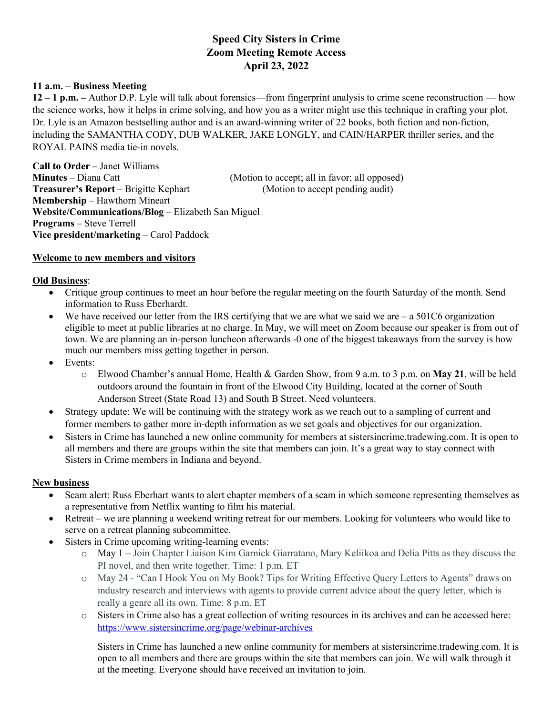# **Speed City Sisters in Crime Zoom Meeting Remote Access April 23, 2022**

## **11 a.m. – Business Meeting**

**12 – 1 p.m. –** Author D.P. Lyle will talk about forensics—from fingerprint analysis to crime scene reconstruction — how the science works, how it helps in crime solving, and how you as a writer might use this technique in crafting your plot. Dr. Lyle is an Amazon bestselling author and is an award-winning writer of 22 books, both fiction and non-fiction, including the SAMANTHA CODY, DUB WALKER, JAKE LONGLY, and CAIN/HARPER thriller series, and the ROYAL PAINS media tie-in novels.

**Call to Order –** Janet Williams **Minutes** – Diana Catt (Motion to accept; all in favor; all opposed) **Treasurer's Report** – Brigitte Kephart (Motion to accept pending audit) **Membership** – Hawthorn Mineart **Website/Communications/Blog** – Elizabeth San Miguel **Programs** – Steve Terrell **Vice president/marketing** – Carol Paddock

## **Welcome to new members and visitors**

## **Old Business**:

- Critique group continues to meet an hour before the regular meeting on the fourth Saturday of the month. Send information to Russ Eberhardt.
- We have received our letter from the IRS certifying that we are what we said we are  $-$  a 501C6 organization eligible to meet at public libraries at no charge. In May, we will meet on Zoom because our speaker is from out of town. We are planning an in-person luncheon afterwards -0 one of the biggest takeaways from the survey is how much our members miss getting together in person.
- Events:
	- o Elwood Chamber's annual Home, Health & Garden Show, from 9 a.m. to 3 p.m. on **May 21**, will be held outdoors around the fountain in front of the Elwood City Building, located at the corner of South Anderson Street (State Road 13) and South B Street. Need volunteers.
- Strategy update: We will be continuing with the strategy work as we reach out to a sampling of current and former members to gather more in-depth information as we set goals and objectives for our organization.
- Sisters in Crime has launched a new online community for members at sistersincrime.tradewing.com. It is open to all members and there are groups within the site that members can join. It's a great way to stay connect with Sisters in Crime members in Indiana and beyond.

## **New business**

- Scam alert: Russ Eberhart wants to alert chapter members of a scam in which someone representing themselves as a representative from Netflix wanting to film his material.
- Retreat we are planning a weekend writing retreat for our members. Looking for volunteers who would like to serve on a retreat planning subcommittee.
- Sisters in Crime upcoming writing-learning events:
	- o May 1 Join Chapter Liaison Kim Garnick Giarratano, Mary Keliikoa and Delia Pitts as they discuss the PI novel, and then write together. Time: 1 p.m. ET
	- o May 24 "Can I Hook You on My Book? Tips for Writing Effective Query Letters to Agents" draws on industry research and interviews with agents to provide current advice about the query letter, which is really a genre all its own. Time: 8 p.m. ET
	- o Sisters in Crime also has a great collection of writing resources in its archives and can be accessed here: https://www.sistersincrime.org/page/webinar-archives

Sisters in Crime has launched a new online community for members at sistersincrime.tradewing.com. It is open to all members and there are groups within the site that members can join. We will walk through it at the meeting. Everyone should have received an invitation to join.